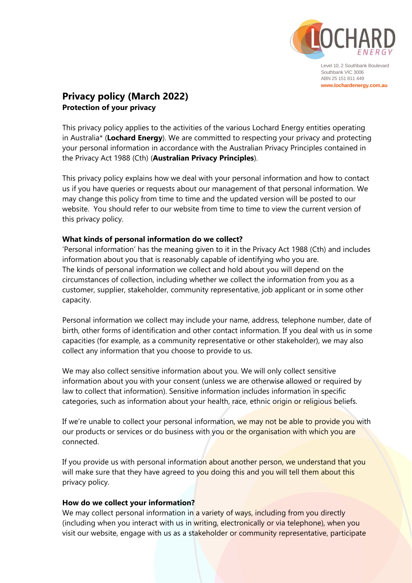

Level 10, 2 Southbank Boulevard Southbank VIC 3006 ABN 25 151 811 449 **www.lochardenergy.com.au**

# **Privacy policy (March 2022) Protection of your privacy**

This privacy policy applies to the activities of the various Lochard Energy entities operating in Australia\* (**Lochard Energy**). We are committed to respecting your privacy and protecting your personal information in accordance with the Australian Privacy Principles contained in the Privacy Act 1988 (Cth) (**Australian Privacy Principles**).

This privacy policy explains how we deal with your personal information and how to contact us if you have queries or requests about our management of that personal information. We may change this policy from time to time and the updated version will be posted to our website. You should refer to our website from time to time to view the current version of this privacy policy.

# **What kinds of personal information do we collect?**

'Personal information' has the meaning given to it in the Privacy Act 1988 (Cth) and includes information about you that is reasonably capable of identifying who you are. The kinds of personal information we collect and hold about you will depend on the circumstances of collection, including whether we collect the information from you as a customer, supplier, stakeholder, community representative, job applicant or in some other capacity.

Personal information we collect may include your name, address, telephone number, date of birth, other forms of identification and other contact information. If you deal with us in some capacities (for example, as a community representative or other stakeholder), we may also collect any information that you choose to provide to us.

We may also collect sensitive information about you. We will only collect sensitive information about you with your consent (unless we are otherwise allowed or required by law to collect that information). Sensitive information includes information in specific categories, such as information about your health, race, ethnic origin or religious beliefs.

If we're unable to collect your personal information, we may not be able to provide you with our products or services or do business with you or the organisation with which you are connected.

If you provide us with personal information about another person, we understand that you will make sure that they have agreed to you doing this and you will tell them about this privacy policy.

## **How do we collect your information?**

We may collect personal information in a variety of ways, including from you directly (including when you interact with us in writing, electronically or via telephone), when you visit our website, engage with us as a stakeholder or community representative, participate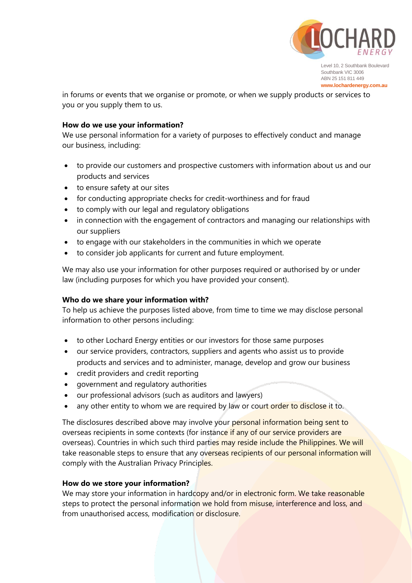

Level 10, 2 Southbank Boulevard Southbank VIC 3006 ABN 25 151 811 449 **www.lochardenergy.com.au**

in forums or events that we organise or promote, or when we supply products or services to you or you supply them to us.

# **How do we use your information?**

We use personal information for a variety of purposes to effectively conduct and manage our business, including:

- to provide our customers and prospective customers with information about us and our products and services
- to ensure safety at our sites
- for conducting appropriate checks for credit-worthiness and for fraud
- to comply with our legal and regulatory obligations
- in connection with the engagement of contractors and managing our relationships with our suppliers
- to engage with our stakeholders in the communities in which we operate
- to consider job applicants for current and future employment.

We may also use your information for other purposes required or authorised by or under law (including purposes for which you have provided your consent).

# **Who do we share your information with?**

To help us achieve the purposes listed above, from time to time we may disclose personal information to other persons including:

- to other Lochard Energy entities or our investors for those same purposes
- our service providers, contractors, suppliers and agents who assist us to provide products and services and to administer, manage, develop and grow our business
- credit providers and credit reporting
- government and regulatory authorities
- our professional advisors (such as auditors and lawyers)
- any other entity to whom we are required by law or court order to disclose it to.

The disclosures described above may involve your personal information being sent to overseas recipients in some contexts (for instance if any of our service providers are overseas). Countries in which such third parties may reside include the Philippines. We will take reasonable steps to ensure that any overseas recipients of our personal information will comply with the Australian Privacy Principles.

# **How do we store your information?**

We may store your information in hardcopy and/or in electronic form. We take reasonable steps to protect the personal information we hold from misuse, interference and loss, and from unauthorised access, modification or disclosure.